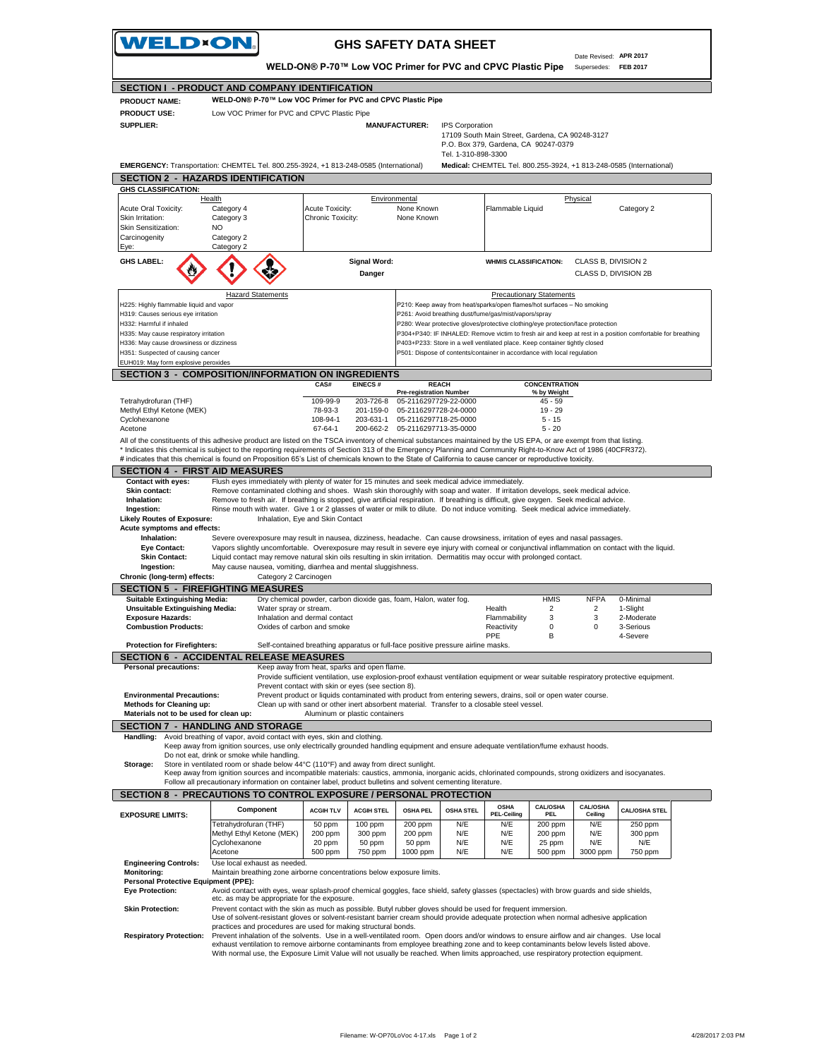|                                                                                                                                                                                                                                                           | <b>VELD×ON.</b>                                                                                                                                                                                                                                                                                                                        |                                                                                                                                                                     |                               | <b>GHS SAFETY DATA SHEET</b>                   |                     |                                                                                                                                          |                                 |                                             |                                                                                                                                      |
|-----------------------------------------------------------------------------------------------------------------------------------------------------------------------------------------------------------------------------------------------------------|----------------------------------------------------------------------------------------------------------------------------------------------------------------------------------------------------------------------------------------------------------------------------------------------------------------------------------------|---------------------------------------------------------------------------------------------------------------------------------------------------------------------|-------------------------------|------------------------------------------------|---------------------|------------------------------------------------------------------------------------------------------------------------------------------|---------------------------------|---------------------------------------------|--------------------------------------------------------------------------------------------------------------------------------------|
|                                                                                                                                                                                                                                                           |                                                                                                                                                                                                                                                                                                                                        | WELD-ON® P-70™ Low VOC Primer for PVC and CPVC Plastic Pipe                                                                                                         |                               |                                                |                     |                                                                                                                                          |                                 | Date Revised: APR 2017<br>Supersedes:       | <b>FEB 2017</b>                                                                                                                      |
|                                                                                                                                                                                                                                                           | SECTION I - PRODUCT AND COMPANY IDENTIFICATION                                                                                                                                                                                                                                                                                         |                                                                                                                                                                     |                               |                                                |                     |                                                                                                                                          |                                 |                                             |                                                                                                                                      |
| <b>PRODUCT NAME:</b>                                                                                                                                                                                                                                      | WELD-ON® P-70™ Low VOC Primer for PVC and CPVC Plastic Pipe                                                                                                                                                                                                                                                                            |                                                                                                                                                                     |                               |                                                |                     |                                                                                                                                          |                                 |                                             |                                                                                                                                      |
| <b>PRODUCT USE:</b>                                                                                                                                                                                                                                       | Low VOC Primer for PVC and CPVC Plastic Pipe                                                                                                                                                                                                                                                                                           |                                                                                                                                                                     |                               |                                                |                     |                                                                                                                                          |                                 |                                             |                                                                                                                                      |
| <b>SUPPLIER:</b>                                                                                                                                                                                                                                          |                                                                                                                                                                                                                                                                                                                                        |                                                                                                                                                                     |                               | <b>MANUFACTURER:</b>                           | IPS Corporation     | 17109 South Main Street, Gardena, CA 90248-3127                                                                                          |                                 |                                             |                                                                                                                                      |
|                                                                                                                                                                                                                                                           |                                                                                                                                                                                                                                                                                                                                        |                                                                                                                                                                     |                               |                                                |                     | P.O. Box 379, Gardena, CA 90247-0379                                                                                                     |                                 |                                             |                                                                                                                                      |
|                                                                                                                                                                                                                                                           |                                                                                                                                                                                                                                                                                                                                        |                                                                                                                                                                     |                               |                                                | Tel. 1-310-898-3300 |                                                                                                                                          |                                 |                                             |                                                                                                                                      |
|                                                                                                                                                                                                                                                           | EMERGENCY: Transportation: CHEMTEL Tel. 800.255-3924, +1 813-248-0585 (International)                                                                                                                                                                                                                                                  |                                                                                                                                                                     |                               |                                                |                     |                                                                                                                                          |                                 |                                             | Medical: CHEMTEL Tel. 800.255-3924, +1 813-248-0585 (International)                                                                  |
|                                                                                                                                                                                                                                                           | <b>SECTION 2 - HAZARDS IDENTIFICATION</b>                                                                                                                                                                                                                                                                                              |                                                                                                                                                                     |                               |                                                |                     |                                                                                                                                          |                                 |                                             |                                                                                                                                      |
| <b>GHS CLASSIFICATION:</b>                                                                                                                                                                                                                                |                                                                                                                                                                                                                                                                                                                                        |                                                                                                                                                                     |                               |                                                |                     |                                                                                                                                          |                                 |                                             |                                                                                                                                      |
| Acute Oral Toxicity:                                                                                                                                                                                                                                      | Health<br>Category 4                                                                                                                                                                                                                                                                                                                   | Acute Toxicity:                                                                                                                                                     | Environmental                 | None Known                                     |                     | Flammable Liquid                                                                                                                         |                                 | Physical                                    | Category 2                                                                                                                           |
| Skin Irritation:                                                                                                                                                                                                                                          | Category 3                                                                                                                                                                                                                                                                                                                             | Chronic Toxicity:                                                                                                                                                   |                               | None Known                                     |                     |                                                                                                                                          |                                 |                                             |                                                                                                                                      |
| Skin Sensitization:                                                                                                                                                                                                                                       | NO.                                                                                                                                                                                                                                                                                                                                    |                                                                                                                                                                     |                               |                                                |                     |                                                                                                                                          |                                 |                                             |                                                                                                                                      |
| Carcinogenity                                                                                                                                                                                                                                             | Category 2<br>Category 2                                                                                                                                                                                                                                                                                                               |                                                                                                                                                                     |                               |                                                |                     |                                                                                                                                          |                                 |                                             |                                                                                                                                      |
| Eye:                                                                                                                                                                                                                                                      |                                                                                                                                                                                                                                                                                                                                        |                                                                                                                                                                     |                               |                                                |                     |                                                                                                                                          |                                 |                                             |                                                                                                                                      |
| <b>GHS LABEL:</b>                                                                                                                                                                                                                                         |                                                                                                                                                                                                                                                                                                                                        |                                                                                                                                                                     | <b>Signal Word:</b><br>Danger |                                                |                     | <b>WHMIS CLASSIFICATION:</b>                                                                                                             |                                 | CLASS B, DIVISION 2<br>CLASS D, DIVISION 2B |                                                                                                                                      |
|                                                                                                                                                                                                                                                           | <b>Hazard Statements</b>                                                                                                                                                                                                                                                                                                               |                                                                                                                                                                     |                               |                                                |                     |                                                                                                                                          | <b>Precautionary Statements</b> |                                             |                                                                                                                                      |
| H225: Highly flammable liquid and vapor                                                                                                                                                                                                                   |                                                                                                                                                                                                                                                                                                                                        |                                                                                                                                                                     |                               |                                                |                     | P210: Keep away from heat/sparks/open flames/hot surfaces - No smoking                                                                   |                                 |                                             |                                                                                                                                      |
| H319: Causes serious eye irritation<br>H332: Harmful if inhaled                                                                                                                                                                                           |                                                                                                                                                                                                                                                                                                                                        |                                                                                                                                                                     |                               |                                                |                     | P261: Avoid breathing dust/fume/gas/mist/vapors/spray<br>P280: Wear protective gloves/protective clothing/eye protection/face protection |                                 |                                             |                                                                                                                                      |
| H335: May cause respiratory irritation                                                                                                                                                                                                                    |                                                                                                                                                                                                                                                                                                                                        |                                                                                                                                                                     |                               |                                                |                     |                                                                                                                                          |                                 |                                             | P304+P340: IF INHALED: Remove victim to fresh air and keep at rest in a position comfortable for breathing                           |
| H336: May cause drowsiness or dizziness                                                                                                                                                                                                                   |                                                                                                                                                                                                                                                                                                                                        |                                                                                                                                                                     |                               |                                                |                     | P403+P233: Store in a well ventilated place. Keep container tightly closed                                                               |                                 |                                             |                                                                                                                                      |
| H351: Suspected of causing cancer<br>EUH019: May form explosive peroxides                                                                                                                                                                                 |                                                                                                                                                                                                                                                                                                                                        |                                                                                                                                                                     |                               |                                                |                     | P501: Dispose of contents/container in accordance with local regulation                                                                  |                                 |                                             |                                                                                                                                      |
|                                                                                                                                                                                                                                                           | <b>SECTION 3 - COMPOSITION/INFORMATION ON INGREDIENTS</b>                                                                                                                                                                                                                                                                              |                                                                                                                                                                     |                               |                                                |                     |                                                                                                                                          |                                 |                                             |                                                                                                                                      |
|                                                                                                                                                                                                                                                           |                                                                                                                                                                                                                                                                                                                                        | CAS#                                                                                                                                                                | <b>EINECS#</b>                |                                                | <b>REACH</b>        |                                                                                                                                          | <b>CONCENTRATION</b>            |                                             |                                                                                                                                      |
|                                                                                                                                                                                                                                                           |                                                                                                                                                                                                                                                                                                                                        |                                                                                                                                                                     |                               | <b>Pre-registration Number</b>                 |                     |                                                                                                                                          | % by Weight                     |                                             |                                                                                                                                      |
| Tetrahydrofuran (THF)<br>Methyl Ethyl Ketone (MEK)                                                                                                                                                                                                        |                                                                                                                                                                                                                                                                                                                                        | 109-99-9<br>78-93-3                                                                                                                                                 | 203-726-8<br>201-159-0        | 05-2116297729-22-0000<br>05-2116297728-24-0000 |                     |                                                                                                                                          | 45 - 59<br>$19 - 29$            |                                             |                                                                                                                                      |
| Cyclohexanone                                                                                                                                                                                                                                             |                                                                                                                                                                                                                                                                                                                                        | 108-94-1                                                                                                                                                            | 203-631-1                     | 05-2116297718-25-0000                          |                     |                                                                                                                                          | $5 - 15$                        |                                             |                                                                                                                                      |
| Acetone                                                                                                                                                                                                                                                   |                                                                                                                                                                                                                                                                                                                                        | 67-64-1                                                                                                                                                             | 200-662-2                     | 05-2116297713-35-0000                          |                     |                                                                                                                                          | $5 - 20$                        |                                             |                                                                                                                                      |
|                                                                                                                                                                                                                                                           | All of the constituents of this adhesive product are listed on the TSCA inventory of chemical substances maintained by the US EPA, or are exempt from that listing.<br>* Indicates this chemical is subject to the reporting requirements of Section 313 of the Emergency Planning and Community Right-to-Know Act of 1986 (40CFR372). |                                                                                                                                                                     |                               |                                                |                     |                                                                                                                                          |                                 |                                             |                                                                                                                                      |
|                                                                                                                                                                                                                                                           | # indicates that this chemical is found on Proposition 65's List of chemicals known to the State of California to cause cancer or reproductive toxicity.                                                                                                                                                                               |                                                                                                                                                                     |                               |                                                |                     |                                                                                                                                          |                                 |                                             |                                                                                                                                      |
| <b>SECTION 4 - FIRST AID MEASURES</b>                                                                                                                                                                                                                     |                                                                                                                                                                                                                                                                                                                                        |                                                                                                                                                                     |                               |                                                |                     |                                                                                                                                          |                                 |                                             |                                                                                                                                      |
| <b>Contact with eyes:</b>                                                                                                                                                                                                                                 | Flush eyes immediately with plenty of water for 15 minutes and seek medical advice immediately.                                                                                                                                                                                                                                        |                                                                                                                                                                     |                               |                                                |                     |                                                                                                                                          |                                 |                                             |                                                                                                                                      |
| Skin contact:                                                                                                                                                                                                                                             | Remove contaminated clothing and shoes. Wash skin thoroughly with soap and water. If irritation develops, seek medical advice.                                                                                                                                                                                                         |                                                                                                                                                                     |                               |                                                |                     |                                                                                                                                          |                                 |                                             |                                                                                                                                      |
| Inhalation:<br>Ingestion:                                                                                                                                                                                                                                 | Remove to fresh air. If breathing is stopped, give artificial respiration. If breathing is difficult, give oxygen. Seek medical advice.<br>Rinse mouth with water. Give 1 or 2 glasses of water or milk to dilute. Do not induce vomiting. Seek medical advice immediately.                                                            |                                                                                                                                                                     |                               |                                                |                     |                                                                                                                                          |                                 |                                             |                                                                                                                                      |
| <b>Likely Routes of Exposure:</b>                                                                                                                                                                                                                         |                                                                                                                                                                                                                                                                                                                                        | Inhalation, Eye and Skin Contact                                                                                                                                    |                               |                                                |                     |                                                                                                                                          |                                 |                                             |                                                                                                                                      |
| Acute symptoms and effects:                                                                                                                                                                                                                               |                                                                                                                                                                                                                                                                                                                                        |                                                                                                                                                                     |                               |                                                |                     |                                                                                                                                          |                                 |                                             |                                                                                                                                      |
|                                                                                                                                                                                                                                                           |                                                                                                                                                                                                                                                                                                                                        |                                                                                                                                                                     |                               |                                                |                     |                                                                                                                                          |                                 |                                             |                                                                                                                                      |
| Inhalation:                                                                                                                                                                                                                                               | Severe overexposure may result in nausea, dizziness, headache. Can cause drowsiness, irritation of eyes and nasal passages.                                                                                                                                                                                                            |                                                                                                                                                                     |                               |                                                |                     |                                                                                                                                          |                                 |                                             |                                                                                                                                      |
| <b>Eye Contact:</b><br><b>Skin Contact:</b>                                                                                                                                                                                                               | Vapors slightly uncomfortable. Overexposure may result in severe eye injury with corneal or conjunctival inflammation on contact with the liquid.<br>Liquid contact may remove natural skin oils resulting in skin irritation. Dermatitis may occur with prolonged contact.                                                            |                                                                                                                                                                     |                               |                                                |                     |                                                                                                                                          |                                 |                                             |                                                                                                                                      |
| Ingestion:                                                                                                                                                                                                                                                | May cause nausea, vomiting, diarrhea and mental sluggishness.                                                                                                                                                                                                                                                                          |                                                                                                                                                                     |                               |                                                |                     |                                                                                                                                          |                                 |                                             |                                                                                                                                      |
|                                                                                                                                                                                                                                                           | Category 2 Carcinogen                                                                                                                                                                                                                                                                                                                  |                                                                                                                                                                     |                               |                                                |                     |                                                                                                                                          |                                 |                                             |                                                                                                                                      |
| Chronic (long-term) effects:                                                                                                                                                                                                                              | <b>SECTION 5 - FIREFIGHTING MEASURES</b>                                                                                                                                                                                                                                                                                               |                                                                                                                                                                     |                               |                                                |                     |                                                                                                                                          |                                 |                                             |                                                                                                                                      |
| <b>Suitable Extinguishing Media:</b>                                                                                                                                                                                                                      |                                                                                                                                                                                                                                                                                                                                        | Dry chemical powder, carbon dioxide gas, foam, Halon, water fog.                                                                                                    |                               |                                                |                     |                                                                                                                                          | <b>HMIS</b>                     | <b>NFPA</b>                                 | 0-Minimal                                                                                                                            |
| <b>Unsuitable Extinguishing Media:</b><br><b>Exposure Hazards:</b>                                                                                                                                                                                        | Water spray or stream.                                                                                                                                                                                                                                                                                                                 | Inhalation and dermal contact                                                                                                                                       |                               |                                                |                     | Health<br>Flammability                                                                                                                   | 2<br>3                          | 2<br>3                                      | 1-Slight<br>2-Moderate                                                                                                               |
| <b>Combustion Products:</b>                                                                                                                                                                                                                               |                                                                                                                                                                                                                                                                                                                                        | Oxides of carbon and smoke                                                                                                                                          |                               |                                                |                     | Reactivity                                                                                                                               | 0                               |                                             | 3-Serious                                                                                                                            |
|                                                                                                                                                                                                                                                           |                                                                                                                                                                                                                                                                                                                                        |                                                                                                                                                                     |                               |                                                |                     | PPE                                                                                                                                      | В                               |                                             | 4-Severe                                                                                                                             |
| <b>Protection for Firefighters:</b>                                                                                                                                                                                                                       |                                                                                                                                                                                                                                                                                                                                        | Self-contained breathing apparatus or full-face positive pressure airline masks.                                                                                    |                               |                                                |                     |                                                                                                                                          |                                 |                                             |                                                                                                                                      |
| <b>Personal precautions:</b>                                                                                                                                                                                                                              | <b>SECTION 6 - ACCIDENTAL RELEASE MEASURES</b>                                                                                                                                                                                                                                                                                         | Keep away from heat, sparks and open flame.                                                                                                                         |                               |                                                |                     |                                                                                                                                          |                                 |                                             |                                                                                                                                      |
|                                                                                                                                                                                                                                                           |                                                                                                                                                                                                                                                                                                                                        |                                                                                                                                                                     |                               |                                                |                     |                                                                                                                                          |                                 |                                             | Provide sufficient ventilation, use explosion-proof exhaust ventilation equipment or wear suitable respiratory protective equipment. |
|                                                                                                                                                                                                                                                           |                                                                                                                                                                                                                                                                                                                                        | Prevent contact with skin or eyes (see section 8).<br>Prevent product or liquids contaminated with product from entering sewers, drains, soil or open water course. |                               |                                                |                     |                                                                                                                                          |                                 |                                             |                                                                                                                                      |
|                                                                                                                                                                                                                                                           |                                                                                                                                                                                                                                                                                                                                        | Clean up with sand or other inert absorbent material. Transfer to a closable steel vessel.                                                                          |                               |                                                |                     |                                                                                                                                          |                                 |                                             |                                                                                                                                      |
|                                                                                                                                                                                                                                                           |                                                                                                                                                                                                                                                                                                                                        | Aluminum or plastic containers                                                                                                                                      |                               |                                                |                     |                                                                                                                                          |                                 |                                             |                                                                                                                                      |
|                                                                                                                                                                                                                                                           | <b>SECTION 7 - HANDLING AND STORAGE</b>                                                                                                                                                                                                                                                                                                |                                                                                                                                                                     |                               |                                                |                     |                                                                                                                                          |                                 |                                             |                                                                                                                                      |
|                                                                                                                                                                                                                                                           | Avoid breathing of vapor, avoid contact with eyes, skin and clothing.                                                                                                                                                                                                                                                                  |                                                                                                                                                                     |                               |                                                |                     |                                                                                                                                          |                                 |                                             |                                                                                                                                      |
|                                                                                                                                                                                                                                                           | Keep away from ignition sources, use only electrically grounded handling equipment and ensure adequate ventilation/fume exhaust hoods.<br>Do not eat, drink or smoke while handling.                                                                                                                                                   |                                                                                                                                                                     |                               |                                                |                     |                                                                                                                                          |                                 |                                             |                                                                                                                                      |
|                                                                                                                                                                                                                                                           | Store in ventilated room or shade below 44°C (110°F) and away from direct sunlight.                                                                                                                                                                                                                                                    |                                                                                                                                                                     |                               |                                                |                     |                                                                                                                                          |                                 |                                             |                                                                                                                                      |
|                                                                                                                                                                                                                                                           | Keep away from ignition sources and incompatible materials: caustics, ammonia, inorganic acids, chlorinated compounds, strong oxidizers and isocyanates.                                                                                                                                                                               |                                                                                                                                                                     |                               |                                                |                     |                                                                                                                                          |                                 |                                             |                                                                                                                                      |
|                                                                                                                                                                                                                                                           | Follow all precautionary information on container label, product bulletins and solvent cementing literature.                                                                                                                                                                                                                           |                                                                                                                                                                     |                               |                                                |                     |                                                                                                                                          |                                 |                                             |                                                                                                                                      |
|                                                                                                                                                                                                                                                           | SECTION 8 - PRECAUTIONS TO CONTROL EXPOSURE / PERSONAL PROTECTION                                                                                                                                                                                                                                                                      |                                                                                                                                                                     |                               |                                                |                     | <b>OSHA</b>                                                                                                                              | <b>CAL/OSHA</b>                 | <b>CAL/OSHA</b>                             |                                                                                                                                      |
|                                                                                                                                                                                                                                                           | Component                                                                                                                                                                                                                                                                                                                              | <b>ACGIH TLV</b>                                                                                                                                                    | <b>ACGIH STEL</b>             | <b>OSHA PEL</b>                                | <b>OSHA STEL</b>    | <b>PEL-Ceiling</b>                                                                                                                       | <b>PEL</b>                      | Ceiling                                     | <b>CAL/OSHA STEL</b>                                                                                                                 |
|                                                                                                                                                                                                                                                           | Tetrahydrofuran (THF)                                                                                                                                                                                                                                                                                                                  | 50 ppm                                                                                                                                                              | 100 ppm                       | 200 ppm                                        | N/E                 | N/E                                                                                                                                      | 200 ppm                         | N/E                                         | 250 ppm                                                                                                                              |
|                                                                                                                                                                                                                                                           | Methyl Ethyl Ketone (MEK)                                                                                                                                                                                                                                                                                                              | 200 ppm                                                                                                                                                             | 300 ppm                       | 200 ppm                                        | N/E                 | N/E                                                                                                                                      | 200 ppm                         | N/E                                         | 300 ppm                                                                                                                              |
|                                                                                                                                                                                                                                                           | Cyclohexanone<br>Acetone                                                                                                                                                                                                                                                                                                               | 20 ppm<br>500 ppm                                                                                                                                                   | 50 ppm<br>750 ppm             | 50 ppm<br>1000 ppm                             | N/E<br>N/E          | N/E<br>N/E                                                                                                                               | 25 ppm<br>500 ppm               | N/E<br>3000 ppm                             | N/E<br>750 ppm                                                                                                                       |
|                                                                                                                                                                                                                                                           | Use local exhaust as needed.                                                                                                                                                                                                                                                                                                           |                                                                                                                                                                     |                               |                                                |                     |                                                                                                                                          |                                 |                                             |                                                                                                                                      |
|                                                                                                                                                                                                                                                           | Maintain breathing zone airborne concentrations below exposure limits.                                                                                                                                                                                                                                                                 |                                                                                                                                                                     |                               |                                                |                     |                                                                                                                                          |                                 |                                             |                                                                                                                                      |
| <b>Environmental Precautions:</b><br>Methods for Cleaning up:<br>Materials not to be used for clean up:<br>Handling:<br>Storage:<br><b>EXPOSURE LIMITS:</b><br><b>Engineering Controls:</b><br><b>Monitoring:</b><br>Personal Protective Equipment (PPE): |                                                                                                                                                                                                                                                                                                                                        |                                                                                                                                                                     |                               |                                                |                     |                                                                                                                                          |                                 |                                             |                                                                                                                                      |
|                                                                                                                                                                                                                                                           | Avoid contact with eyes, wear splash-proof chemical goggles, face shield, safety glasses (spectacles) with brow guards and side shields,<br>etc. as may be appropriate for the exposure.                                                                                                                                               |                                                                                                                                                                     |                               |                                                |                     |                                                                                                                                          |                                 |                                             |                                                                                                                                      |
| <b>Eye Protection:</b><br><b>Skin Protection:</b>                                                                                                                                                                                                         | Prevent contact with the skin as much as possible. Butyl rubber gloves should be used for frequent immersion.                                                                                                                                                                                                                          |                                                                                                                                                                     |                               |                                                |                     |                                                                                                                                          |                                 |                                             |                                                                                                                                      |
|                                                                                                                                                                                                                                                           | Use of solvent-resistant gloves or solvent-resistant barrier cream should provide adequate protection when normal adhesive application<br>practices and procedures are used for making structural bonds.                                                                                                                               |                                                                                                                                                                     |                               |                                                |                     |                                                                                                                                          |                                 |                                             |                                                                                                                                      |
| <b>Respiratory Protection:</b>                                                                                                                                                                                                                            | Prevent inhalation of the solvents. Use in a well-ventilated room. Open doors and/or windows to ensure airflow and air changes. Use local<br>exhaust ventilation to remove airborne contaminants from employee breathing zone and to keep contaminants below levels listed above.                                                      |                                                                                                                                                                     |                               |                                                |                     |                                                                                                                                          |                                 |                                             |                                                                                                                                      |